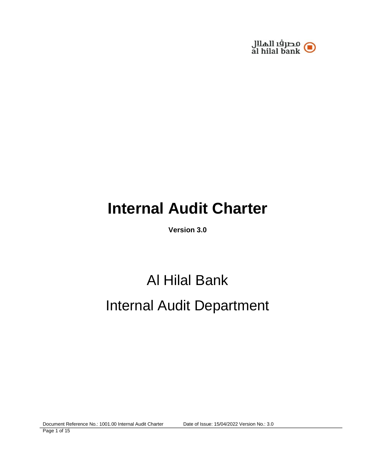

# **Internal Audit Charter**

**Version 3.0** 

# Al Hilal Bank Internal Audit Department

Document Reference No.: 1001.00 Internal Audit Charter Date of Issue: 15/04/2022 Version No.: 3.0

Page 1 of 15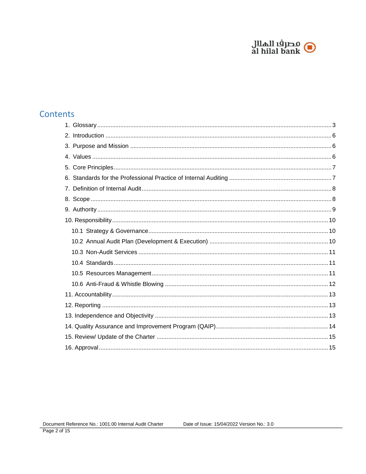

# **Contents**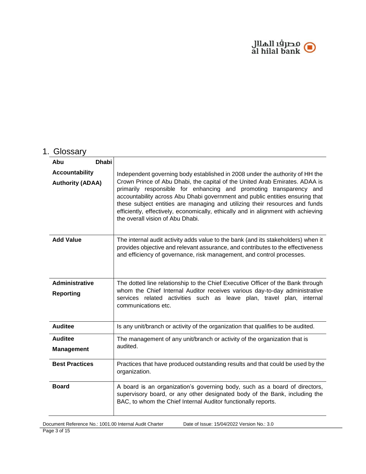

# <span id="page-2-0"></span>1. Glossary

| <b>Dhabi</b><br>Abu                              |                                                                                                                                                                                                                                                                                                                                                                                                                                                                                                                           |
|--------------------------------------------------|---------------------------------------------------------------------------------------------------------------------------------------------------------------------------------------------------------------------------------------------------------------------------------------------------------------------------------------------------------------------------------------------------------------------------------------------------------------------------------------------------------------------------|
| <b>Accountability</b><br><b>Authority (ADAA)</b> | Independent governing body established in 2008 under the authority of HH the<br>Crown Prince of Abu Dhabi, the capital of the United Arab Emirates. ADAA is<br>primarily responsible for enhancing and promoting transparency and<br>accountability across Abu Dhabi government and public entities ensuring that<br>these subject entities are managing and utilizing their resources and funds<br>efficiently, effectively, economically, ethically and in alignment with achieving<br>the overall vision of Abu Dhabi. |
| <b>Add Value</b>                                 | The internal audit activity adds value to the bank (and its stakeholders) when it<br>provides objective and relevant assurance, and contributes to the effectiveness<br>and efficiency of governance, risk management, and control processes.                                                                                                                                                                                                                                                                             |
| <b>Administrative</b><br>Reporting               | The dotted line relationship to the Chief Executive Officer of the Bank through<br>whom the Chief Internal Auditor receives various day-to-day administrative<br>services related activities such as leave plan, travel plan, internal<br>communications etc.                                                                                                                                                                                                                                                             |
| <b>Auditee</b>                                   | Is any unit/branch or activity of the organization that qualifies to be audited.                                                                                                                                                                                                                                                                                                                                                                                                                                          |
| <b>Auditee</b><br><b>Management</b>              | The management of any unit/branch or activity of the organization that is<br>audited.                                                                                                                                                                                                                                                                                                                                                                                                                                     |
| <b>Best Practices</b>                            | Practices that have produced outstanding results and that could be used by the<br>organization.                                                                                                                                                                                                                                                                                                                                                                                                                           |
| <b>Board</b>                                     | A board is an organization's governing body, such as a board of directors,<br>supervisory board, or any other designated body of the Bank, including the<br>BAC, to whom the Chief Internal Auditor functionally reports.                                                                                                                                                                                                                                                                                                 |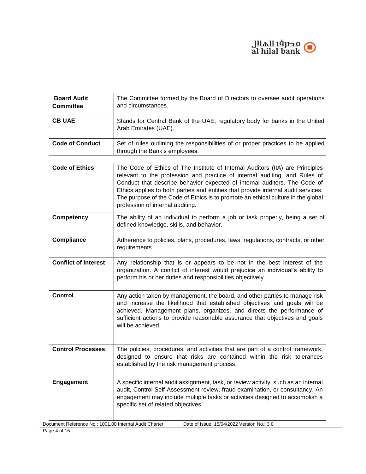

| <b>Board Audit</b><br><b>Committee</b>                 | The Committee formed by the Board of Directors to oversee audit operations<br>and circumstances.                                                                                                                                                                                                                                                                                                                                                      |
|--------------------------------------------------------|-------------------------------------------------------------------------------------------------------------------------------------------------------------------------------------------------------------------------------------------------------------------------------------------------------------------------------------------------------------------------------------------------------------------------------------------------------|
| <b>CB UAE</b>                                          | Stands for Central Bank of the UAE, regulatory body for banks in the United<br>Arab Emirates (UAE).                                                                                                                                                                                                                                                                                                                                                   |
| <b>Code of Conduct</b>                                 | Set of rules outlining the responsibilities of or proper practices to be applied<br>through the Bank's employees.                                                                                                                                                                                                                                                                                                                                     |
| <b>Code of Ethics</b>                                  | The Code of Ethics of The Institute of Internal Auditors (IIA) are Principles<br>relevant to the profession and practice of internal auditing, and Rules of<br>Conduct that describe behavior expected of internal auditors. The Code of<br>Ethics applies to both parties and entities that provide internal audit services.<br>The purpose of the Code of Ethics is to promote an ethical culture in the global<br>profession of internal auditing. |
| <b>Competency</b>                                      | The ability of an individual to perform a job or task properly, being a set of<br>defined knowledge, skills, and behavior.                                                                                                                                                                                                                                                                                                                            |
| <b>Compliance</b>                                      | Adherence to policies, plans, procedures, laws, regulations, contracts, or other<br>requirements.                                                                                                                                                                                                                                                                                                                                                     |
| <b>Conflict of Interest</b>                            | Any relationship that is or appears to be not in the best interest of the<br>organization. A conflict of interest would prejudice an individual's ability to<br>perform his or her duties and responsibilities objectively.                                                                                                                                                                                                                           |
| <b>Control</b>                                         | Any action taken by management, the board, and other parties to manage risk<br>and increase the likelihood that established objectives and goals will be<br>achieved. Management plans, organizes, and directs the performance of<br>sufficient actions to provide reasonable assurance that objectives and goals<br>will be achieved.                                                                                                                |
| <b>Control Processes</b>                               | The policies, procedures, and activities that are part of a control framework,<br>designed to ensure that risks are contained within the risk tolerances<br>established by the risk management process.                                                                                                                                                                                                                                               |
| <b>Engagement</b>                                      | A specific internal audit assignment, task, or review activity, such as an internal<br>audit, Control Self-Assessment review, fraud examination, or consultancy. An<br>engagement may include multiple tasks or activities designed to accomplish a<br>specific set of related objectives.                                                                                                                                                            |
| Document Reference No.: 1001.00 Internal Audit Charter | Date of Issue: 15/04/2022 Version No.: 3.0                                                                                                                                                                                                                                                                                                                                                                                                            |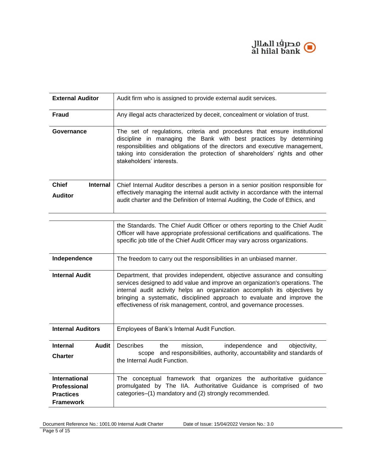

| <b>External Auditor</b>                                                             | Audit firm who is assigned to provide external audit services.                                                                                                                                                                                                                                                                                                                             |
|-------------------------------------------------------------------------------------|--------------------------------------------------------------------------------------------------------------------------------------------------------------------------------------------------------------------------------------------------------------------------------------------------------------------------------------------------------------------------------------------|
| <b>Fraud</b>                                                                        | Any illegal acts characterized by deceit, concealment or violation of trust.                                                                                                                                                                                                                                                                                                               |
| Governance                                                                          | The set of regulations, criteria and procedures that ensure institutional<br>discipline in managing the Bank with best practices by determining<br>responsibilities and obligations of the directors and executive management,<br>taking into consideration the protection of shareholders' rights and other<br>stakeholders' interests.                                                   |
| <b>Chief</b><br><b>Internal</b><br><b>Auditor</b>                                   | Chief Internal Auditor describes a person in a senior position responsible for<br>effectively managing the internal audit activity in accordance with the internal<br>audit charter and the Definition of Internal Auditing, the Code of Ethics, and                                                                                                                                       |
|                                                                                     | the Standards. The Chief Audit Officer or others reporting to the Chief Audit<br>Officer will have appropriate professional certifications and qualifications. The<br>specific job title of the Chief Audit Officer may vary across organizations.                                                                                                                                         |
| Independence                                                                        | The freedom to carry out the responsibilities in an unbiased manner.                                                                                                                                                                                                                                                                                                                       |
| <b>Internal Audit</b>                                                               | Department, that provides independent, objective assurance and consulting<br>services designed to add value and improve an organization's operations. The<br>internal audit activity helps an organization accomplish its objectives by<br>bringing a systematic, disciplined approach to evaluate and improve the<br>effectiveness of risk management, control, and governance processes. |
| <b>Internal Auditors</b>                                                            | Employees of Bank's Internal Audit Function.                                                                                                                                                                                                                                                                                                                                               |
| <b>Internal</b><br>Audit<br><b>Charter</b>                                          | Describes<br>mission,<br>independence and<br>the<br>objectivity,<br>scope and responsibilities, authority, accountability and standards of<br>the Internal Audit Function.                                                                                                                                                                                                                 |
| <b>International</b><br><b>Professional</b><br><b>Practices</b><br><b>Framework</b> | The conceptual framework that organizes the authoritative guidance<br>promulgated by The IIA. Authoritative Guidance is comprised of two<br>categories-(1) mandatory and (2) strongly recommended.                                                                                                                                                                                         |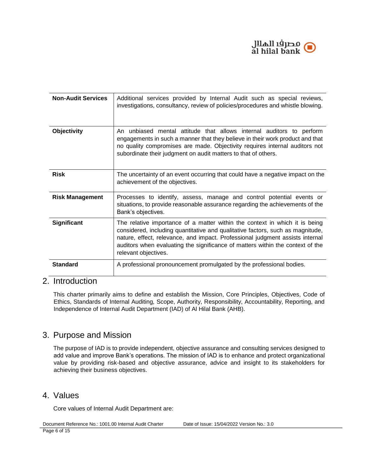

| <b>Non-Audit Services</b> | Additional services provided by Internal Audit such as special reviews,<br>investigations, consultancy, review of policies/procedures and whistle blowing.                                                                                                                                                                                               |
|---------------------------|----------------------------------------------------------------------------------------------------------------------------------------------------------------------------------------------------------------------------------------------------------------------------------------------------------------------------------------------------------|
| <b>Objectivity</b>        | An unbiased mental attitude that allows internal auditors to perform<br>engagements in such a manner that they believe in their work product and that<br>no quality compromises are made. Objectivity requires internal auditors not<br>subordinate their judgment on audit matters to that of others.                                                   |
| <b>Risk</b>               | The uncertainty of an event occurring that could have a negative impact on the<br>achievement of the objectives.                                                                                                                                                                                                                                         |
| <b>Risk Management</b>    | Processes to identify, assess, manage and control potential events or<br>situations, to provide reasonable assurance regarding the achievements of the<br>Bank's objectives.                                                                                                                                                                             |
| <b>Significant</b>        | The relative importance of a matter within the context in which it is being<br>considered, including quantitative and qualitative factors, such as magnitude,<br>nature, effect, relevance, and impact. Professional judgment assists internal<br>auditors when evaluating the significance of matters within the context of the<br>relevant objectives. |
| <b>Standard</b>           | A professional pronouncement promulgated by the professional bodies.                                                                                                                                                                                                                                                                                     |

#### <span id="page-5-0"></span>2. Introduction

This charter primarily aims to define and establish the Mission, Core Principles, Objectives, Code of Ethics, Standards of Internal Auditing, Scope, Authority, Responsibility, Accountability, Reporting, and Independence of Internal Audit Department (IAD) of Al Hilal Bank (AHB).

## <span id="page-5-1"></span>3. Purpose and Mission

The purpose of IAD is to provide independent, objective assurance and consulting services designed to add value and improve Bank's operations. The mission of IAD is to enhance and protect organizational value by providing risk-based and objective assurance, advice and insight to its stakeholders for achieving their business objectives.

#### <span id="page-5-2"></span>4. Values

Core values of Internal Audit Department are:

Document Reference No.: 1001.00 Internal Audit Charter Date of Issue: 15/04/2022 Version No.: 3.0 Page 6 of 15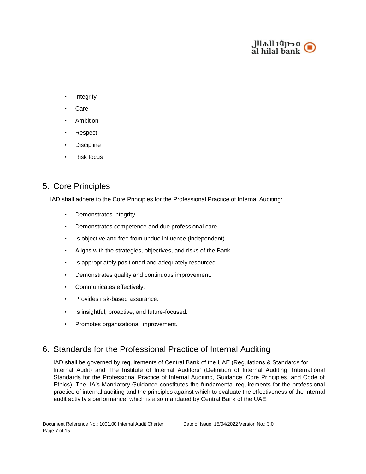

- **Integrity**
- **Care**
- **Ambition**
- Respect
- **Discipline**
- **Risk focus**

# <span id="page-6-0"></span>5. Core Principles

IAD shall adhere to the Core Principles for the Professional Practice of Internal Auditing:

- Demonstrates integrity.
- Demonstrates competence and due professional care.
- Is objective and free from undue influence (independent).
- Aligns with the strategies, objectives, and risks of the Bank.
- Is appropriately positioned and adequately resourced.
- Demonstrates quality and continuous improvement.
- Communicates effectively.
- Provides risk-based assurance.
- Is insightful, proactive, and future-focused.
- Promotes organizational improvement.

## <span id="page-6-1"></span>6. Standards for the Professional Practice of Internal Auditing

IAD shall be governed by requirements of Central Bank of the UAE (Regulations & Standards for Internal Audit) and The Institute of Internal Auditors' (Definition of Internal Auditing, International Standards for the Professional Practice of Internal Auditing, Guidance, Core Principles, and Code of Ethics). The IIA's Mandatory Guidance constitutes the fundamental requirements for the professional practice of internal auditing and the principles against which to evaluate the effectiveness of the internal audit activity's performance, which is also mandated by Central Bank of the UAE.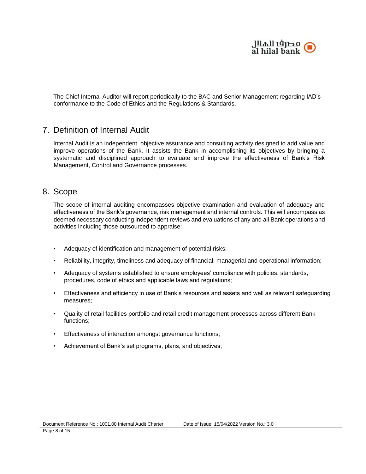

The Chief Internal Auditor will report periodically to the BAC and Senior Management regarding IAD's conformance to the Code of Ethics and the Regulations & Standards.

#### <span id="page-7-0"></span>7. Definition of Internal Audit

Internal Audit is an independent, objective assurance and consulting activity designed to add value and improve operations of the Bank. It assists the Bank in accomplishing its objectives by bringing a systematic and disciplined approach to evaluate and improve the effectiveness of Bank's Risk Management, Control and Governance processes.

#### <span id="page-7-1"></span>8. Scope

The scope of internal auditing encompasses objective examination and evaluation of adequacy and effectiveness of the Bank's governance, risk management and internal controls. This will encompass as deemed necessary conducting independent reviews and evaluations of any and all Bank operations and activities including those outsourced to appraise:

- Adequacy of identification and management of potential risks;
- Reliability, integrity, timeliness and adequacy of financial, managerial and operational information;
- Adequacy of systems established to ensure employees' compliance with policies, standards, procedures, code of ethics and applicable laws and regulations;
- Effectiveness and efficiency in use of Bank's resources and assets and well as relevant safeguarding measures;
- Quality of retail facilities portfolio and retail credit management processes across different Bank functions;
- Effectiveness of interaction amongst governance functions;
- Achievement of Bank's set programs, plans, and objectives;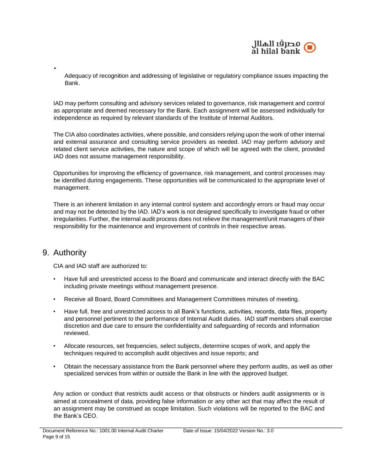

Adequacy of recognition and addressing of legislative or regulatory compliance issues impacting the Bank.

IAD may perform consulting and advisory services related to governance, risk management and control as appropriate and deemed necessary for the Bank. Each assignment will be assessed individually for independence as required by relevant standards of the Institute of Internal Auditors.

The CIA also coordinates activities, where possible, and considers relying upon the work of other internal and external assurance and consulting service providers as needed. IAD may perform advisory and related client service activities, the nature and scope of which will be agreed with the client, provided IAD does not assume management responsibility.

Opportunities for improving the efficiency of governance, risk management, and control processes may be identified during engagements. These opportunities will be communicated to the appropriate level of management.

There is an inherent limitation in any internal control system and accordingly errors or fraud may occur and may not be detected by the IAD. IAD's work is not designed specifically to investigate fraud or other irregularities. Further, the internal audit process does not relieve the management/unit managers of their responsibility for the maintenance and improvement of controls in their respective areas.

#### <span id="page-8-0"></span>9. Authority

•

CIA and IAD staff are authorized to:

- Have full and unrestricted access to the Board and communicate and interact directly with the BAC including private meetings without management presence.
- Receive all Board, Board Committees and Management Committees minutes of meeting.
- Have full, free and unrestricted access to all Bank's functions, activities, records, data files, property and personnel pertinent to the performance of Internal Audit duties. IAD staff members shall exercise discretion and due care to ensure the confidentiality and safeguarding of records and information reviewed.
- Allocate resources, set frequencies, select subjects, determine scopes of work, and apply the techniques required to accomplish audit objectives and issue reports; and
- Obtain the necessary assistance from the Bank personnel where they perform audits, as well as other specialized services from within or outside the Bank in line with the approved budget.

Any action or conduct that restricts audit access or that obstructs or hinders audit assignments or is aimed at concealment of data, providing false information or any other act that may affect the result of an assignment may be construed as scope limitation. Such violations will be reported to the BAC and the Bank's CEO.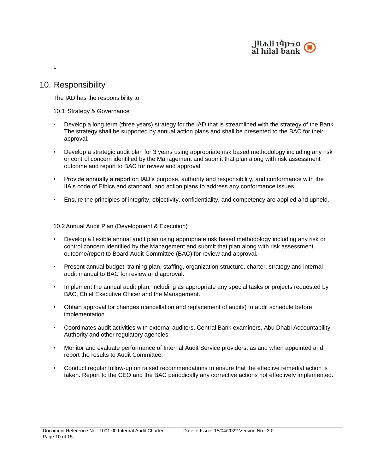

## <span id="page-9-0"></span>10. Responsibility

•

The IAD has the responsibility to:

#### <span id="page-9-1"></span>10.1 Strategy & Governance

- Develop a long term (three years) strategy for the IAD that is streamlined with the strategy of the Bank. The strategy shall be supported by annual action plans and shall be presented to the BAC for their approval.
- Develop a strategic audit plan for 3 years using appropriate risk based methodology including any risk or control concern identified by the Management and submit that plan along with risk assessment outcome and report to BAC for review and approval.
- Provide annually a report on IAD's purpose, authority and responsibility, and conformance with the IIA's code of Ethics and standard, and action plans to address any conformance issues.
- Ensure the principles of integrity, objectivity, confidentiality, and competency are applied and upheld.

<span id="page-9-2"></span>10.2 Annual Audit Plan (Development & Execution)

- Develop a flexible annual audit plan using appropriate risk based methodology including any risk or control concern identified by the Management and submit that plan along with risk assessment outcome/report to Board Audit Committee (BAC) for review and approval.
- Present annual budget, training plan, staffing, organization structure, charter, strategy and internal audit manual to BAC for review and approval.
- Implement the annual audit plan, including as appropriate any special tasks or projects requested by BAC, Chief Executive Officer and the Management.
- Obtain approval for changes (cancellation and replacement of audits) to audit schedule before implementation.
- Coordinates audit activities with external auditors, Central Bank examiners, Abu Dhabi Accountability Authority and other regulatory agencies.
- Monitor and evaluate performance of Internal Audit Service providers, as and when appointed and report the results to Audit Committee.
- Conduct regular follow-up on raised recommendations to ensure that the effective remedial action is taken. Report to the CEO and the BAC periodically any corrective actions not effectively implemented.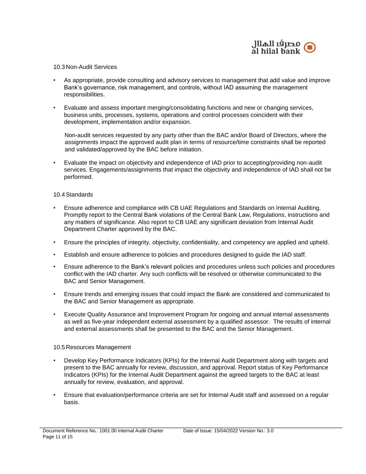

#### <span id="page-10-0"></span>10.3 Non-Audit Services

- As appropriate, provide consulting and advisory services to management that add value and improve Bank's governance, risk management, and controls, without IAD assuming the management responsibilities.
- Evaluate and assess important merging/consolidating functions and new or changing services, business units, processes, systems, operations and control processes coincident with their development, implementation and/or expansion.

Non-audit services requested by any party other than the BAC and/or Board of Directors, where the assignments impact the approved audit plan in terms of resource/time constraints shall be reported and validated/approved by the BAC before initiation.

• Evaluate the impact on objectivity and independence of IAD prior to accepting/providing non-audit services. Engagements/assignments that impact the objectivity and independence of IAD shall not be performed.

#### <span id="page-10-1"></span>10.4 Standards

- Ensure adherence and compliance with CB UAE Regulations and Standards on Internal Auditing. Promptly report to the Central Bank violations of the Central Bank Law, Regulations, instructions and any matters of significance. Also report to CB UAE any significant deviation from Internal Audit Department Charter approved by the BAC.
- Ensure the principles of integrity, objectivity, confidentiality, and competency are applied and upheld.
- Establish and ensure adherence to policies and procedures designed to guide the IAD staff.
- Ensure adherence to the Bank's relevant policies and procedures unless such policies and procedures conflict with the IAD charter. Any such conflicts will be resolved or otherwise communicated to the BAC and Senior Management.
- Ensure trends and emerging issues that could impact the Bank are considered and communicated to the BAC and Senior Management as appropriate.
- Execute Quality Assurance and Improvement Program for ongoing and annual internal assessments as well as five-year independent external assessment by a qualified assessor. The results of internal and external assessments shall be presented to the BAC and the Senior Management.

#### <span id="page-10-2"></span>10.5 Resources Management

- Develop Key Performance Indicators (KPIs) for the Internal Audit Department along with targets and present to the BAC annually for review, discussion, and approval. Report status of Key Performance Indicators (KPIs) for the Internal Audit Department against the agreed targets to the BAC at least annually for review, evaluation, and approval.
- Ensure that evaluation/performance criteria are set for Internal Audit staff and assessed on a regular basis.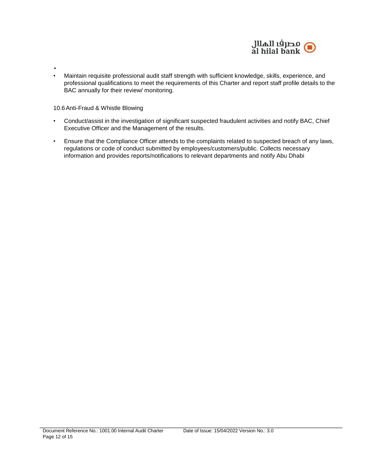

• Maintain requisite professional audit staff strength with sufficient knowledge, skills, experience, and professional qualifications to meet the requirements of this Charter and report staff profile details to the BAC annually for their review/ monitoring.

<span id="page-11-0"></span>10.6 Anti-Fraud & Whistle Blowing

•

- Conduct/assist in the investigation of significant suspected fraudulent activities and notify BAC, Chief Executive Officer and the Management of the results.
- Ensure that the Compliance Officer attends to the complaints related to suspected breach of any laws, regulations or code of conduct submitted by employees/customers/public. Collects necessary information and provides reports/notifications to relevant departments and notify Abu Dhabi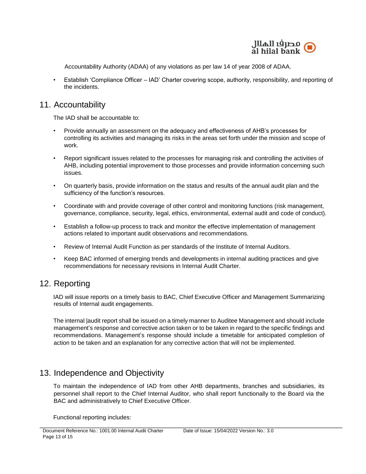

Accountability Authority (ADAA) of any violations as per law 14 of year 2008 of ADAA.

• Establish 'Compliance Officer – IAD' Charter covering scope, authority, responsibility, and reporting of the incidents.

#### <span id="page-12-0"></span>11. Accountability

The IAD shall be accountable to:

- Provide annually an assessment on the adequacy and effectiveness of AHB's processes for controlling its activities and managing its risks in the areas set forth under the mission and scope of work.
- Report significant issues related to the processes for managing risk and controlling the activities of AHB, including potential improvement to those processes and provide information concerning such issues.
- On quarterly basis, provide information on the status and results of the annual audit plan and the sufficiency of the function's resources.
- Coordinate with and provide coverage of other control and monitoring functions (risk management, governance, compliance, security, legal, ethics, environmental, external audit and code of conduct).
- Establish a follow-up process to track and monitor the effective implementation of management actions related to important audit observations and recommendations.
- Review of Internal Audit Function as per standards of the Institute of Internal Auditors.
- Keep BAC informed of emerging trends and developments in internal auditing practices and give recommendations for necessary revisions in Internal Audit Charter.

## <span id="page-12-1"></span>12. Reporting

IAD will issue reports on a timely basis to BAC, Chief Executive Officer and Management Summarizing results of Internal audit engagements.

The internal |audit report shall be issued on a timely manner to Auditee Management and should include management's response and corrective action taken or to be taken in regard to the specific findings and recommendations. Management's response should include a timetable for anticipated completion of action to be taken and an explanation for any corrective action that will not be implemented.

## <span id="page-12-2"></span>13. Independence and Objectivity

To maintain the independence of IAD from other AHB departments, branches and subsidiaries, its personnel shall report to the Chief Internal Auditor, who shall report functionally to the Board via the BAC and administratively to Chief Executive Officer.

Functional reporting includes: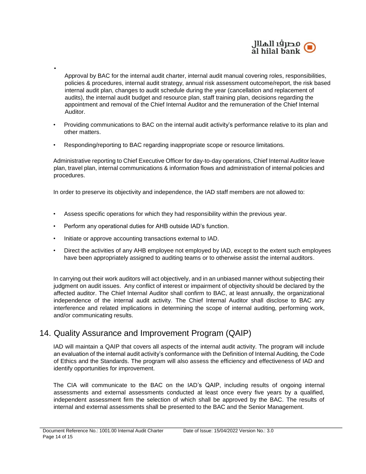

Approval by BAC for the internal audit charter, internal audit manual covering roles, responsibilities, policies & procedures, internal audit strategy, annual risk assessment outcome/report, the risk based internal audit plan, changes to audit schedule during the year (cancellation and replacement of audits), the internal audit budget and resource plan, staff training plan, decisions regarding the appointment and removal of the Chief Internal Auditor and the remuneration of the Chief Internal Auditor.

- Providing communications to BAC on the internal audit activity's performance relative to its plan and other matters.
- Responding/reporting to BAC regarding inappropriate scope or resource limitations.

Administrative reporting to Chief Executive Officer for day-to-day operations, Chief Internal Auditor leave plan, travel plan, internal communications & information flows and administration of internal policies and procedures.

In order to preserve its objectivity and independence, the IAD staff members are not allowed to:

- Assess specific operations for which they had responsibility within the previous year.
- Perform any operational duties for AHB outside IAD's function.
- Initiate or approve accounting transactions external to IAD.

•

• Direct the activities of any AHB employee not employed by IAD, except to the extent such employees have been appropriately assigned to auditing teams or to otherwise assist the internal auditors.

In carrying out their work auditors will act objectively, and in an unbiased manner without subjecting their judgment on audit issues. Any conflict of interest or impairment of objectivity should be declared by the affected auditor. The Chief Internal Auditor shall confirm to BAC, at least annually, the organizational independence of the internal audit activity. The Chief Internal Auditor shall disclose to BAC any interference and related implications in determining the scope of internal auditing, performing work, and/or communicating results.

## <span id="page-13-0"></span>14. Quality Assurance and Improvement Program (QAIP)

IAD will maintain a QAIP that covers all aspects of the internal audit activity. The program will include an evaluation of the internal audit activity's conformance with the Definition of Internal Auditing, the Code of Ethics and the Standards. The program will also assess the efficiency and effectiveness of IAD and identify opportunities for improvement.

The CIA will communicate to the BAC on the IAD's QAIP, including results of ongoing internal assessments and external assessments conducted at least once every five years by a qualified, independent assessment firm the selection of which shall be approved by the BAC. The results of internal and external assessments shall be presented to the BAC and the Senior Management.